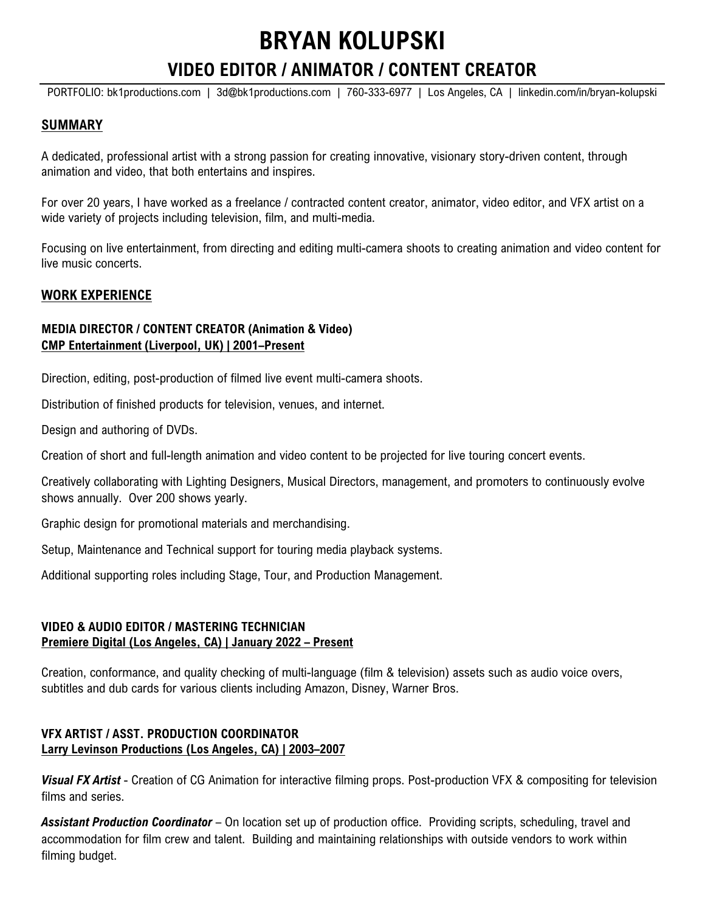# **BRYAN KOLUPSKI**

## **VIDEO EDITOR / ANIMATOR / CONTENT CREATOR**

PORTFOLIO: [bk1productions.com](https://www.bk1productions.com/) | [3d@bk1productions.com](mailto:3d@bk1productions.com) | 760-333-6977 | Los Angeles, CA | [linkedin.com/in/bryan-kolupski](https://www.linkedin.com/in/bryan-kolupski/)

#### **SUMMARY**

A dedicated, professional artist with a strong passion for creating innovative, visionary story-driven content, through animation and video, that both entertains and inspires.

For over 20 years, I have worked as a freelance / contracted content creator, animator, video editor, and VFX artist on a wide variety of projects including television, film, and multi-media.

Focusing on live entertainment, from directing and editing multi-camera shoots to creating animation and video content for live music concerts.

#### **WORK EXPERIENCE**

#### **MEDIA DIRECTOR / CONTENT CREATOR (Animation & Video) CMP Entertainment (Liverpool, UK) | 2001–Present**

Direction, editing, post-production of filmed live event multi-camera shoots.

Distribution of finished products for television, venues, and internet.

Design and authoring of DVDs.

Creation of short and full-length animation and video content to be projected for live touring concert events.

Creatively collaborating with Lighting Designers, Musical Directors, management, and promoters to continuously evolve shows annually. Over 200 shows yearly.

Graphic design for promotional materials and merchandising.

Setup, Maintenance and Technical support for touring media playback systems.

Additional supporting roles including Stage, Tour, and Production Management.

#### **VIDEO & AUDIO EDITOR / MASTERING TECHNICIAN Premiere Digital (Los Angeles, CA) | January 2022 – Present**

Creation, conformance, and quality checking of multi-language (film & television) assets such as audio voice overs, subtitles and dub cards for various clients including Amazon, Disney, Warner Bros.

#### **VFX ARTIST / ASST. PRODUCTION COORDINATOR Larry Levinson Productions (Los Angeles, CA) | 2003–2007**

*Visual FX Artist* - Creation of CG Animation for interactive filming props. Post-production VFX & compositing for television films and series.

*Assistant Production Coordinator* – On location set up of production office. Providing scripts, scheduling, travel and accommodation for film crew and talent. Building and maintaining relationships with outside vendors to work within filming budget.